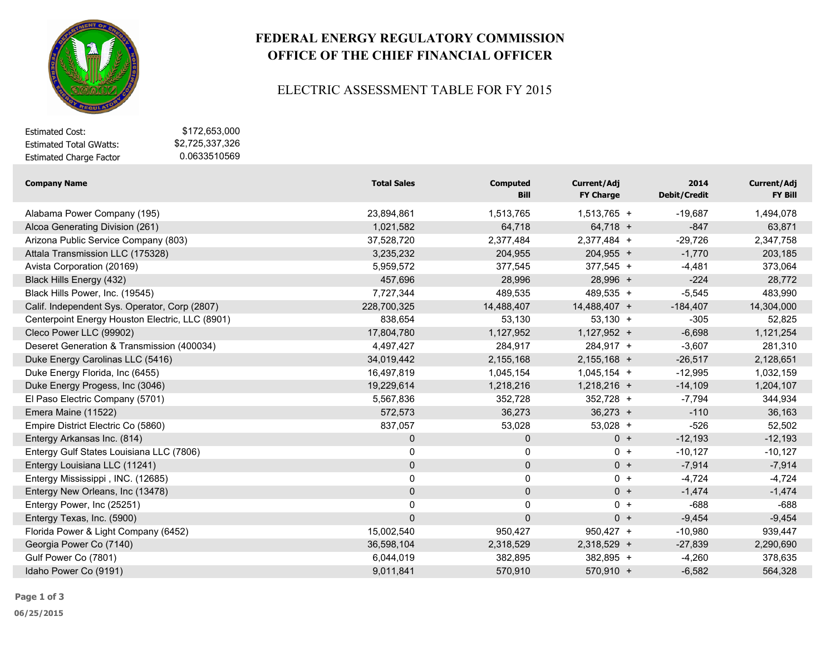

# **FEDERAL ENERGY REGULATORY COMMISSION OFFICE OF THE CHIEF FINANCIAL OFFICER**

#### ELECTRIC ASSESSMENT TABLE FOR FY 2015

| Estimated Cost:                | \$172.653.000   |
|--------------------------------|-----------------|
| <b>Estimated Total GWatts:</b> | \$2.725.337.326 |
| <b>Estimated Charge Factor</b> | 0.0633510569    |

| <b>Company Name</b>                             | <b>Total Sales</b> | <b>Computed</b><br><b>Bill</b> | Current/Adj<br><b>FY Charge</b> | 2014<br><b>Debit/Credit</b> | Current/Adj<br>FY Bill |
|-------------------------------------------------|--------------------|--------------------------------|---------------------------------|-----------------------------|------------------------|
| Alabama Power Company (195)                     | 23,894,861         | 1,513,765                      | $1,513,765 +$                   | $-19,687$                   | 1,494,078              |
| Alcoa Generating Division (261)                 | 1,021,582          | 64,718                         | $64,718 +$                      | $-847$                      | 63,871                 |
| Arizona Public Service Company (803)            | 37,528,720         | 2,377,484                      | 2,377,484 +                     | $-29,726$                   | 2,347,758              |
| Attala Transmission LLC (175328)                | 3,235,232          | 204,955                        | $204,955 +$                     | $-1,770$                    | 203,185                |
| Avista Corporation (20169)                      | 5,959,572          | 377,545                        | 377,545 +                       | $-4,481$                    | 373,064                |
| Black Hills Energy (432)                        | 457,696            | 28,996                         | $28,996 +$                      | $-224$                      | 28,772                 |
| Black Hills Power, Inc. (19545)                 | 7,727,344          | 489,535                        | 489,535 +                       | $-5,545$                    | 483,990                |
| Calif. Independent Sys. Operator, Corp (2807)   | 228,700,325        | 14,488,407                     | 14,488,407 +                    | $-184,407$                  | 14,304,000             |
| Centerpoint Energy Houston Electric, LLC (8901) | 838,654            | 53,130                         | $53,130 +$                      | $-305$                      | 52,825                 |
| Cleco Power LLC (99902)                         | 17,804,780         | 1,127,952                      | $1,127,952 +$                   | $-6,698$                    | 1,121,254              |
| Deseret Generation & Transmission (400034)      | 4,497,427          | 284,917                        | 284,917 +                       | $-3,607$                    | 281,310                |
| Duke Energy Carolinas LLC (5416)                | 34,019,442         | 2,155,168                      | $2,155,168 +$                   | $-26,517$                   | 2,128,651              |
| Duke Energy Florida, Inc (6455)                 | 16,497,819         | 1,045,154                      | $1,045,154 +$                   | $-12,995$                   | 1,032,159              |
| Duke Energy Progess, Inc (3046)                 | 19,229,614         | 1,218,216                      | $1,218,216 +$                   | $-14,109$                   | 1,204,107              |
| El Paso Electric Company (5701)                 | 5,567,836          | 352,728                        | 352,728 +                       | $-7,794$                    | 344,934                |
| Emera Maine (11522)                             | 572,573            | 36,273                         | $36,273 +$                      | $-110$                      | 36,163                 |
| Empire District Electric Co (5860)              | 837,057            | 53,028                         | $53,028 +$                      | -526                        | 52,502                 |
| Entergy Arkansas Inc. (814)                     | $\mathbf 0$        | $\mathbf 0$                    | $0 +$                           | $-12,193$                   | $-12,193$              |
| Entergy Gulf States Louisiana LLC (7806)        | 0                  | 0                              | $0 +$                           | $-10,127$                   | $-10,127$              |
| Entergy Louisiana LLC (11241)                   | $\mathbf 0$        | $\mathbf 0$                    | $0 +$                           | $-7,914$                    | $-7,914$               |
| Entergy Mississippi, INC. (12685)               | 0                  | 0                              | $0 +$                           | $-4,724$                    | $-4,724$               |
| Entergy New Orleans, Inc (13478)                | 0                  | $\pmb{0}$                      | $0 +$                           | $-1,474$                    | $-1,474$               |
| Entergy Power, Inc (25251)                      | 0                  | 0                              | $0 +$                           | $-688$                      | $-688$                 |
| Entergy Texas, Inc. (5900)                      | $\mathbf 0$        | $\mathbf 0$                    | $0 +$                           | $-9,454$                    | $-9,454$               |
| Florida Power & Light Company (6452)            | 15,002,540         | 950,427                        | 950,427 +                       | $-10,980$                   | 939,447                |
| Georgia Power Co (7140)                         | 36,598,104         | 2,318,529                      | 2,318,529 +                     | $-27,839$                   | 2,290,690              |
| Gulf Power Co (7801)                            | 6,044,019          | 382,895                        | 382,895 +                       | $-4,260$                    | 378,635                |
| Idaho Power Co (9191)                           | 9,011,841          | 570,910                        | $570,910 +$                     | $-6,582$                    | 564,328                |

**Page 1 of 3**

**06/25/2015**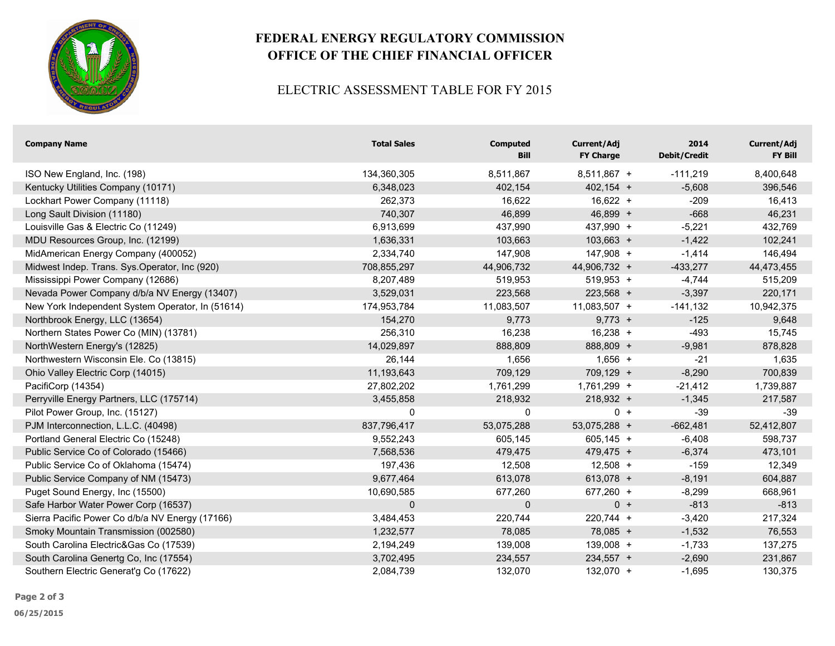

# **FEDERAL ENERGY REGULATORY COMMISSION OFFICE OF THE CHIEF FINANCIAL OFFICER**

### ELECTRIC ASSESSMENT TABLE FOR FY 2015

| <b>Company Name</b>                              | <b>Total Sales</b> | <b>Computed</b><br>Bill | Current/Adj<br><b>FY Charge</b> | 2014<br><b>Debit/Credit</b> | Current/Adj<br>FY Bill |
|--------------------------------------------------|--------------------|-------------------------|---------------------------------|-----------------------------|------------------------|
| ISO New England, Inc. (198)                      | 134,360,305        | 8,511,867               | 8,511,867 +                     | $-111,219$                  | 8,400,648              |
| Kentucky Utilities Company (10171)               | 6,348,023          | 402,154                 | $402,154 +$                     | $-5,608$                    | 396,546                |
| Lockhart Power Company (11118)                   | 262,373            | 16,622                  | $16,622 +$                      | $-209$                      | 16,413                 |
| Long Sault Division (11180)                      | 740,307            | 46,899                  | $46,899 +$                      | $-668$                      | 46,231                 |
| Louisville Gas & Electric Co (11249)             | 6,913,699          | 437,990                 | 437,990 +                       | $-5,221$                    | 432,769                |
| MDU Resources Group, Inc. (12199)                | 1,636,331          | 103,663                 | $103,663 +$                     | $-1,422$                    | 102,241                |
| MidAmerican Energy Company (400052)              | 2,334,740          | 147,908                 | $147,908 +$                     | $-1,414$                    | 146,494                |
| Midwest Indep. Trans. Sys.Operator, Inc (920)    | 708,855,297        | 44,906,732              | 44,906,732 +                    | $-433,277$                  | 44,473,455             |
| Mississippi Power Company (12686)                | 8,207,489          | 519,953                 | 519,953 +                       | $-4,744$                    | 515,209                |
| Nevada Power Company d/b/a NV Energy (13407)     | 3,529,031          | 223,568                 | 223,568 +                       | $-3,397$                    | 220,171                |
| New York Independent System Operator, In (51614) | 174,953,784        | 11,083,507              | $11,083,507 +$                  | $-141,132$                  | 10,942,375             |
| Northbrook Energy, LLC (13654)                   | 154,270            | 9,773                   | $9,773 +$                       | $-125$                      | 9,648                  |
| Northern States Power Co (MIN) (13781)           | 256,310            | 16,238                  | $16,238 +$                      | $-493$                      | 15,745                 |
| NorthWestern Energy's (12825)                    | 14,029,897         | 888,809                 | 888,809 +                       | $-9,981$                    | 878,828                |
| Northwestern Wisconsin Ele. Co (13815)           | 26,144             | 1,656                   | $1,656 +$                       | $-21$                       | 1,635                  |
| Ohio Valley Electric Corp (14015)                | 11,193,643         | 709,129                 | $709,129 +$                     | $-8,290$                    | 700,839                |
| PacifiCorp (14354)                               | 27,802,202         | 1,761,299               | 1,761,299 +                     | $-21,412$                   | 1,739,887              |
| Perryville Energy Partners, LLC (175714)         | 3,455,858          | 218,932                 | 218,932 +                       | $-1,345$                    | 217,587                |
| Pilot Power Group, Inc. (15127)                  | 0                  | 0                       | $0 +$                           | $-39$                       | $-39$                  |
| PJM Interconnection, L.L.C. (40498)              | 837,796,417        | 53,075,288              | 53,075,288 +                    | $-662,481$                  | 52,412,807             |
| Portland General Electric Co (15248)             | 9,552,243          | 605,145                 | $605,145 +$                     | $-6,408$                    | 598,737                |
| Public Service Co of Colorado (15466)            | 7,568,536          | 479,475                 | 479,475 +                       | $-6,374$                    | 473,101                |
| Public Service Co of Oklahoma (15474)            | 197,436            | 12,508                  | $12,508 +$                      | $-159$                      | 12,349                 |
| Public Service Company of NM (15473)             | 9,677,464          | 613,078                 | $613,078 +$                     | $-8,191$                    | 604,887                |
| Puget Sound Energy, Inc (15500)                  | 10,690,585         | 677,260                 | 677,260 +                       | $-8,299$                    | 668,961                |
| Safe Harbor Water Power Corp (16537)             | $\mathbf 0$        | 0                       | $0 +$                           | $-813$                      | $-813$                 |
| Sierra Pacific Power Co d/b/a NV Energy (17166)  | 3,484,453          | 220,744                 | 220,744 +                       | $-3,420$                    | 217,324                |
| Smoky Mountain Transmission (002580)             | 1,232,577          | 78,085                  | $78,085 +$                      | $-1,532$                    | 76,553                 |
| South Carolina Electric&Gas Co (17539)           | 2,194,249          | 139,008                 | 139,008 +                       | $-1,733$                    | 137,275                |
| South Carolina Genertg Co, Inc (17554)           | 3,702,495          | 234,557                 | 234,557 +                       | $-2,690$                    | 231,867                |
| Southern Electric Generat'g Co (17622)           | 2,084,739          | 132,070                 | 132,070 +                       | $-1,695$                    | 130,375                |